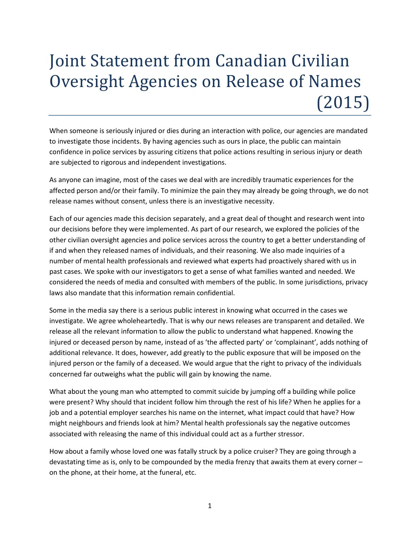## Joint Statement from Canadian Civilian Oversight Agencies on Release of Names (2015)

When someone is seriously injured or dies during an interaction with police, our agencies are mandated to investigate those incidents. By having agencies such as ours in place, the public can maintain confidence in police services by assuring citizens that police actions resulting in serious injury or death are subjected to rigorous and independent investigations.

As anyone can imagine, most of the cases we deal with are incredibly traumatic experiences for the affected person and/or their family. To minimize the pain they may already be going through, we do not release names without consent, unless there is an investigative necessity.

Each of our agencies made this decision separately, and a great deal of thought and research went into our decisions before they were implemented. As part of our research, we explored the policies of the other civilian oversight agencies and police services across the country to get a better understanding of if and when they released names of individuals, and their reasoning. We also made inquiries of a number of mental health professionals and reviewed what experts had proactively shared with us in past cases. We spoke with our investigators to get a sense of what families wanted and needed. We considered the needs of media and consulted with members of the public. In some jurisdictions, privacy laws also mandate that this information remain confidential.

Some in the media say there is a serious public interest in knowing what occurred in the cases we investigate. We agree wholeheartedly. That is why our news releases are transparent and detailed. We release all the relevant information to allow the public to understand what happened. Knowing the injured or deceased person by name, instead of as 'the affected party' or 'complainant', adds nothing of additional relevance. It does, however, add greatly to the public exposure that will be imposed on the injured person or the family of a deceased. We would argue that the right to privacy of the individuals concerned far outweighs what the public will gain by knowing the name.

What about the young man who attempted to commit suicide by jumping off a building while police were present? Why should that incident follow him through the rest of his life? When he applies for a job and a potential employer searches his name on the internet, what impact could that have? How might neighbours and friends look at him? Mental health professionals say the negative outcomes associated with releasing the name of this individual could act as a further stressor.

How about a family whose loved one was fatally struck by a police cruiser? They are going through a devastating time as is, only to be compounded by the media frenzy that awaits them at every corner – on the phone, at their home, at the funeral, etc.